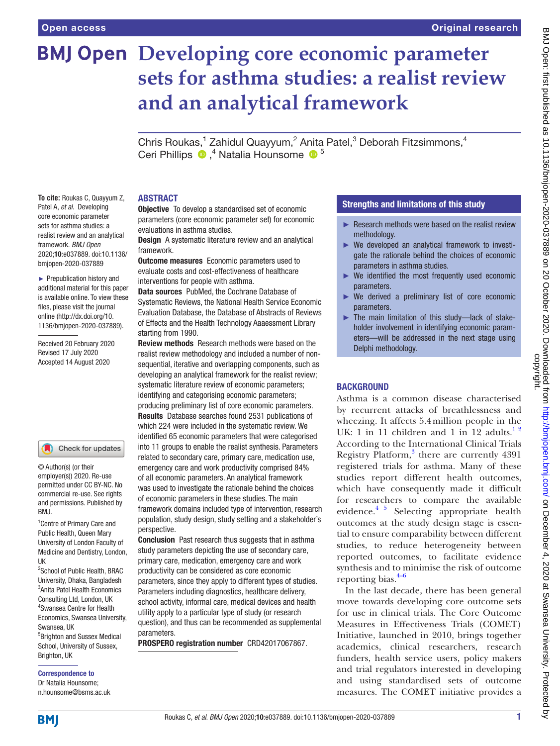# **BMJ Open Developing core economic parameter sets for asthma studies: a realist review and an analytical framework**

Chris Roukas,<sup>1</sup> Zahidul Quayyum,<sup>2</sup> Anita Patel,<sup>3</sup> Deborah Fitzsimmons,<sup>4</sup> Ceri Phillips  $\bigcirc$ ,<sup>4</sup> Natalia Hounsome  $\bigcirc$ <sup>5</sup>

#### **To cite:** Roukas C, Quayyum Z, Patel A, *et al*. Developing core economic parameter sets for asthma studies: a realist review and an analytical framework. *BMJ Open* 2020;10:e037889. doi:10.1136/ bmjopen-2020-037889

► Prepublication history and additional material for this paper is available online. To view these files, please visit the journal online (http://dx.doi.org/10. 1136/bmjopen-2020-037889).

Received 20 February 2020 Revised 17 July 2020 Accepted 14 August 2020

#### Check for updates

© Author(s) (or their employer(s)) 2020. Re-use permitted under CC BY-NC. No commercial re-use. See rights and permissions. Published by BMJ.

1 Centre of Primary Care and Public Health, Queen Mary University of London Faculty of Medicine and Dentistry, London, UK

<sup>2</sup>School of Public Health, BRAC University, Dhaka, Bangladesh 3 Anita Patel Health Economics Consulting Ltd, London, UK 4 Swansea Centre for Health Economics, Swansea University, Swansea, UK 5 Brighton and Sussex Medical School, University of Sussex, Brighton, UK

#### Correspondence to

Dr Natalia Hounsome; n.hounsome@bsms.ac.uk

#### ABSTRACT

**Objective** To develop a standardised set of economic parameters (core economic parameter set) for economic evaluations in asthma studies.

**Design** A systematic literature review and an analytical framework.

**Outcome measures** Economic parameters used to evaluate costs and cost-effectiveness of healthcare interventions for people with asthma.

Data sources PubMed, the Cochrane Database of Systematic Reviews, the National Health Service Economic Evaluation Database, the Database of Abstracts of Reviews of Effects and the Health Technology Aaaessment Library starting from 1990.

Review methods Research methods were based on the realist review methodology and included a number of nonsequential, iterative and overlapping components, such as developing an analytical framework for the realist review; systematic literature review of economic parameters; identifying and categorising economic parameters; producing preliminary list of core economic parameters. Results Database searches found 2531 publications of which 224 were included in the systematic review. We identified 65 economic parameters that were categorised into 11 groups to enable the realist synthesis. Parameters related to secondary care, primary care, medication use, emergency care and work productivity comprised 84% of all economic parameters. An analytical framework was used to investigate the rationale behind the choices of economic parameters in these studies. The main framework domains included type of intervention, research population, study design, study setting and a stakeholder's perspective.

Conclusion Past research thus suggests that in asthma study parameters depicting the use of secondary care, primary care, medication, emergency care and work productivity can be considered as core economic parameters, since they apply to different types of studies. Parameters including diagnostics, healthcare delivery, school activity, informal care, medical devices and health utility apply to a particular type of study (or research question), and thus can be recommended as supplemental parameters.

PROSPERO registration number CRD42017067867.

# Strengths and limitations of this study

- $\blacktriangleright$  Research methods were based on the realist review methodology.
- ► We developed an analytical framework to investigate the rationale behind the choices of economic parameters in asthma studies.
- We identified the most frequently used economic parameters.
- ► We derived a preliminary list of core economic parameters.
- ► The main limitation of this study—lack of stakeholder involvement in identifying economic parameters—will be addressed in the next stage using Delphi methodology.

# **BACKGROUND**

Asthma is a common disease characterised by recurrent attacks of breathlessness and wheezing. It affects 5.4million people in the UK: 1 in 11 children and 1 in 12 adults. $1^2$ According to the International Clinical Trials Registry Platform,<sup>[3](#page-11-1)</sup> there are currently 4391 registered trials for asthma. Many of these studies report different health outcomes, which have consequently made it difficult for researchers to compare the available evidence[.4 5](#page-11-2) Selecting appropriate health outcomes at the study design stage is essential to ensure comparability between different studies, to reduce heterogeneity between reported outcomes, to facilitate evidence synthesis and to minimise the risk of outcome reporting bias. $4-6$ 

In the last decade, there has been general move towards developing core outcome sets for use in clinical trials. The Core Outcome Measures in Effectiveness Trials (COMET) Initiative, launched in 2010, brings together academics, clinical researchers, research funders, health service users, policy makers and trial regulators interested in developing and using standardised sets of outcome measures. The COMET initiative provides a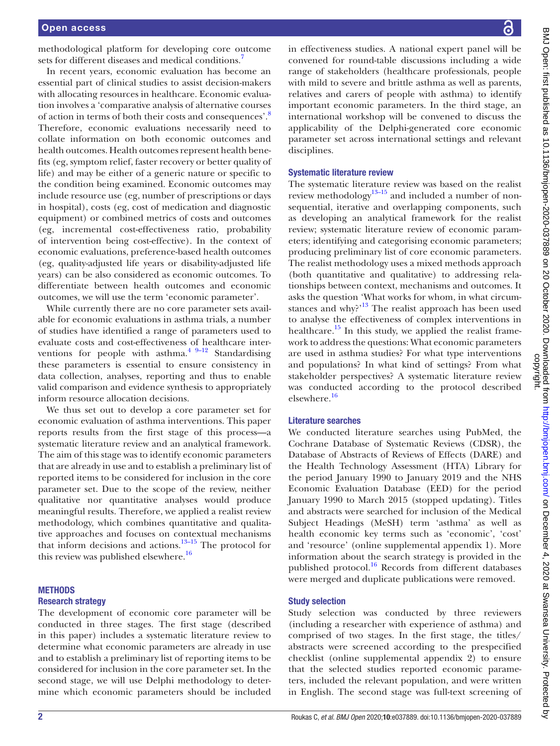methodological platform for developing core outcome sets for different diseases and medical conditions.<sup>7</sup>

In recent years, economic evaluation has become an essential part of clinical studies to assist decision-makers with allocating resources in healthcare. Economic evaluation involves a 'comparative analysis of alternative courses of action in terms of both their costs and consequences'.[8](#page-11-4) Therefore, economic evaluations necessarily need to collate information on both economic outcomes and health outcomes. Health outcomes represent health benefits (eg, symptom relief, faster recovery or better quality of life) and may be either of a generic nature or specific to the condition being examined. Economic outcomes may include resource use (eg, number of prescriptions or days in hospital), costs (eg, cost of medication and diagnostic equipment) or combined metrics of costs and outcomes (eg, incremental cost-effectiveness ratio, probability of intervention being cost-effective). In the context of economic evaluations, preference-based health outcomes (eg, quality-adjusted life years or disability-adjusted life years) can be also considered as economic outcomes. To differentiate between health outcomes and economic outcomes, we will use the term 'economic parameter'.

While currently there are no core parameter sets available for economic evaluations in asthma trials, a number of studies have identified a range of parameters used to evaluate costs and cost-effectiveness of healthcare interventions for people with  $\alpha$ sthma.<sup>[4 9–12](#page-11-2)</sup> Standardising these parameters is essential to ensure consistency in data collection, analyses, reporting and thus to enable valid comparison and evidence synthesis to appropriately inform resource allocation decisions.

We thus set out to develop a core parameter set for economic evaluation of asthma interventions. This paper reports results from the first stage of this process—a systematic literature review and an analytical framework. The aim of this stage was to identify economic parameters that are already in use and to establish a preliminary list of reported items to be considered for inclusion in the core parameter set. Due to the scope of the review, neither qualitative nor quantitative analyses would produce meaningful results. Therefore, we applied a realist review methodology, which combines quantitative and qualitative approaches and focuses on contextual mechanisms that inform decisions and actions.[13–15](#page-11-5) The protocol for this review was published elsewhere.<sup>[16](#page-11-6)</sup>

#### **METHODS**

#### Research strategy

The development of economic core parameter will be conducted in three stages. The first stage (described in this paper) includes a systematic literature review to determine what economic parameters are already in use and to establish a preliminary list of reporting items to be considered for inclusion in the core parameter set. In the second stage, we will use Delphi methodology to determine which economic parameters should be included

in effectiveness studies. A national expert panel will be convened for round-table discussions including a wide range of stakeholders (healthcare professionals, people with mild to severe and brittle asthma as well as parents, relatives and carers of people with asthma) to identify important economic parameters. In the third stage, an international workshop will be convened to discuss the applicability of the Delphi-generated core economic parameter set across international settings and relevant disciplines.

#### Systematic literature review

The systematic literature review was based on the realist review methodology $13-15$  and included a number of nonsequential, iterative and overlapping components, such as developing an analytical framework for the realist review; systematic literature review of economic parameters; identifying and categorising economic parameters; producing preliminary list of core economic parameters. The realist methodology uses a mixed methods approach (both quantitative and qualitative) to addressing relationships between context, mechanisms and outcomes. It asks the question 'What works for whom, in what circumstances and why?'<sup>13</sup> The realist approach has been used to analyse the effectiveness of complex interventions in healthcare.<sup>15</sup> In this study, we applied the realist framework to address the questions: What economic parameters are used in asthma studies? For what type interventions and populations? In what kind of settings? From what stakeholder perspectives? A systematic literature review was conducted according to the protocol described elsewhere[.16](#page-11-6)

#### Literature searches

We conducted literature searches using PubMed, the Cochrane Database of Systematic Reviews (CDSR), the Database of Abstracts of Reviews of Effects (DARE) and the Health Technology Assessment (HTA) Library for the period January 1990 to January 2019 and the NHS Economic Evaluation Database (EED) for the period January 1990 to March 2015 (stopped updating). Titles and abstracts were searched for inclusion of the Medical Subject Headings (MeSH) term 'asthma' as well as health economic key terms such as 'economic', 'cost' and 'resource' ([online supplemental appendix 1](https://dx.doi.org/10.1136/bmjopen-2020-037889)). More information about the search strategy is provided in the published protocol.<sup>16</sup> Records from different databases were merged and duplicate publications were removed.

#### Study selection

Study selection was conducted by three reviewers (including a researcher with experience of asthma) and comprised of two stages. In the first stage, the titles/ abstracts were screened according to the prespecified checklist ([online supplemental appendix 2](https://dx.doi.org/10.1136/bmjopen-2020-037889)) to ensure that the selected studies reported economic parameters, included the relevant population, and were written in English. The second stage was full-text screening of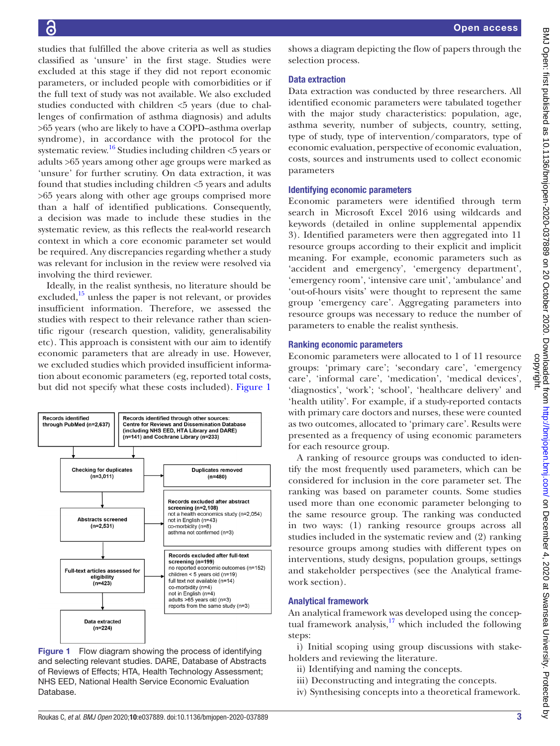studies that fulfilled the above criteria as well as studies classified as 'unsure' in the first stage. Studies were excluded at this stage if they did not report economic parameters, or included people with comorbidities or if the full text of study was not available. We also excluded studies conducted with children <5 years (due to challenges of confirmation of asthma diagnosis) and adults >65 years (who are likely to have a COPD–asthma overlap syndrome), in accordance with the protocol for the systematic review.<sup>16</sup> Studies including children  $\leq$ 5 years or adults >65 years among other age groups were marked as 'unsure' for further scrutiny. On data extraction, it was found that studies including children <5 years and adults >65 years along with other age groups comprised more than a half of identified publications. Consequently, a decision was made to include these studies in the systematic review, as this reflects the real-world research context in which a core economic parameter set would be required. Any discrepancies regarding whether a study was relevant for inclusion in the review were resolved via involving the third reviewer.

Ideally, in the realist synthesis, no literature should be excluded, $^{15}$  unless the paper is not relevant, or provides insufficient information. Therefore, we assessed the studies with respect to their relevance rather than scientific rigour (research question, validity, generalisability etc). This approach is consistent with our aim to identify economic parameters that are already in use. However, we excluded studies which provided insufficient information about economic parameters (eg, reported total costs, but did not specify what these costs included). [Figure](#page-2-0) 1



<span id="page-2-0"></span>Figure 1 Flow diagram showing the process of identifying and selecting relevant studies. DARE, Database of Abstracts of Reviews of Effects; HTA, Health Technology Assessment; NHS EED, National Health Service Economic Evaluation Database.

shows a diagram depicting the flow of papers through the selection process.

## Data extraction

Data extraction was conducted by three researchers. All identified economic parameters were tabulated together with the major study characteristics: population, age, asthma severity, number of subjects, country, setting, type of study, type of intervention/comparators, type of economic evaluation, perspective of economic evaluation, costs, sources and instruments used to collect economic parameters

#### Identifying economic parameters

Economic parameters were identified through term search in Microsoft Excel 2016 using wildcards and keywords (detailed in [online supplemental appendix](https://dx.doi.org/10.1136/bmjopen-2020-037889)  [3](https://dx.doi.org/10.1136/bmjopen-2020-037889)). Identified parameters were then aggregated into 11 resource groups according to their explicit and implicit meaning. For example, economic parameters such as 'accident and emergency', 'emergency department', 'emergency room', 'intensive care unit', 'ambulance' and 'out-of-hours visits' were thought to represent the same group 'emergency care'. Aggregating parameters into resource groups was necessary to reduce the number of parameters to enable the realist synthesis.

#### Ranking economic parameters

Economic parameters were allocated to 1 of 11 resource groups: 'primary care'; 'secondary care', 'emergency care', 'informal care', 'medication', 'medical devices', 'diagnostics', 'work'; 'school', 'healthcare delivery' and 'health utility'. For example, if a study-reported contacts with primary care doctors and nurses, these were counted as two outcomes, allocated to 'primary care'. Results were presented as a frequency of using economic parameters for each resource group.

A ranking of resource groups was conducted to identify the most frequently used parameters, which can be considered for inclusion in the core parameter set. The ranking was based on parameter counts. Some studies used more than one economic parameter belonging to the same resource group. The ranking was conducted in two ways: (1) ranking resource groups across all studies included in the systematic review and (2) ranking resource groups among studies with different types on interventions, study designs, population groups, settings and stakeholder perspectives (see the Analytical framework section).

#### Analytical framework

An analytical framework was developed using the conceptual framework analysis, $17$  which included the following steps:

i) Initial scoping using group discussions with stakeholders and reviewing the literature.

- ii) Identifying and naming the concepts.
- iii) Deconstructing and integrating the concepts.
- iv) Synthesising concepts into a theoretical framework.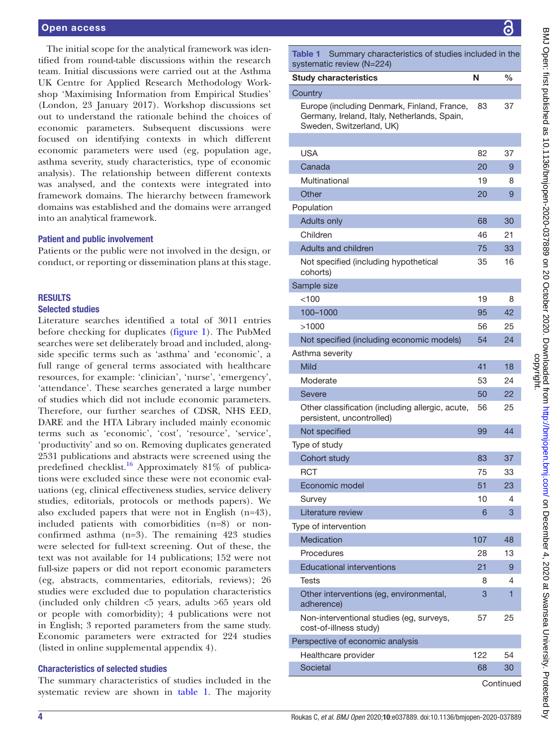#### Open access

The initial scope for the analytical framework was identified from round-table discussions within the research team. Initial discussions were carried out at the Asthma UK Centre for Applied Research Methodology Workshop 'Maximising Information from Empirical Studies' (London, 23 January 2017). Workshop discussions set out to understand the rationale behind the choices of economic parameters. Subsequent discussions were focused on identifying contexts in which different economic parameters were used (eg, population age, asthma severity, study characteristics, type of economic analysis). The relationship between different contexts was analysed, and the contexts were integrated into framework domains. The hierarchy between framework domains was established and the domains were arranged into an analytical framework.

#### Patient and public involvement

Patients or the public were not involved in the design, or conduct, or reporting or dissemination plans at this stage.

# RESULTS

#### Selected studies

Literature searches identified a total of 3011 entries before checking for duplicates ([figure](#page-2-0) 1). The PubMed searches were set deliberately broad and included, alongside specific terms such as 'asthma' and 'economic', a full range of general terms associated with healthcare resources, for example: 'clinician', 'nurse', 'emergency', 'attendance'. These searches generated a large number of studies which did not include economic parameters. Therefore, our further searches of CDSR, NHS EED, DARE and the HTA Library included mainly economic terms such as 'economic', 'cost', 'resource', 'service', 'productivity' and so on. Removing duplicates generated 2531 publications and abstracts were screened using the predefined checklist.<sup>16</sup> Approximately 81% of publications were excluded since these were not economic evaluations (eg, clinical effectiveness studies, service delivery studies, editorials, protocols or methods papers). We also excluded papers that were not in English (n=43), included patients with comorbidities (n=8) or nonconfirmed asthma (n=3). The remaining 423 studies were selected for full-text screening. Out of these, the text was not available for 14 publications; 152 were not full-size papers or did not report economic parameters (eg, abstracts, commentaries, editorials, reviews); 26 studies were excluded due to population characteristics (included only children <5 years, adults >65 years old or people with comorbidity); 4 publications were not in English; 3 reported parameters from the same study. Economic parameters were extracted for 224 studies (listed in [online supplemental appendix 4\)](https://dx.doi.org/10.1136/bmjopen-2020-037889).

#### Characteristics of selected studies

The summary characteristics of studies included in the systematic review are shown in [table](#page-3-0) 1. The majority <span id="page-3-0"></span>Table 1 Summary characteristics of studies included in the systematic review (N=224)

| <b>Study characteristics</b>                                                                                            | N   | $\frac{0}{0}$ |
|-------------------------------------------------------------------------------------------------------------------------|-----|---------------|
| Country                                                                                                                 |     |               |
| Europe (including Denmark, Finland, France,<br>Germany, Ireland, Italy, Netherlands, Spain,<br>Sweden, Switzerland, UK) | 83  | 37            |
|                                                                                                                         |     |               |
| USA                                                                                                                     | 82  | 37            |
| Canada                                                                                                                  | 20  | 9             |
| Multinational                                                                                                           | 19  | 8             |
| Other                                                                                                                   | 20  | 9             |
| Population                                                                                                              |     |               |
| <b>Adults only</b>                                                                                                      | 68  | 30            |
| Children                                                                                                                | 46  | 21            |
| Adults and children                                                                                                     | 75  | 33            |
| Not specified (including hypothetical<br>cohorts)                                                                       | 35  | 16            |
| Sample size                                                                                                             |     |               |
| $<$ 100                                                                                                                 | 19  | 8             |
| 100-1000                                                                                                                | 95  | 42            |
| >1000                                                                                                                   | 56  | 25            |
| Not specified (including economic models)                                                                               | 54  | 24            |
| Asthma severity                                                                                                         |     |               |
| <b>Mild</b>                                                                                                             | 41  | 18            |
| Moderate                                                                                                                | 53  | 24            |
| Severe                                                                                                                  | 50  | 22            |
| Other classification (including allergic, acute,<br>persistent, uncontrolled)                                           | 56  | 25            |
| Not specified                                                                                                           | 99  | 44            |
| Type of study                                                                                                           |     |               |
| Cohort study                                                                                                            | 83  | 37            |
| RCT                                                                                                                     | 75  | 33            |
| Economic model                                                                                                          | 51  | 23            |
| Survey                                                                                                                  | 10  | 4             |
| Literature review                                                                                                       | 6   | 3             |
| Type of intervention                                                                                                    |     |               |
| Medication                                                                                                              | 107 | 48            |
| Procedures                                                                                                              | 28  | 13            |
| <b>Educational interventions</b>                                                                                        | 21  | 9             |
| Tests                                                                                                                   | 8   | 4             |
| Other interventions (eg, environmental,<br>adherence)                                                                   | 3   | 1             |
| Non-interventional studies (eg, surveys,<br>cost-of-illness study)                                                      | 57  | 25            |
| Perspective of economic analysis                                                                                        |     |               |
| Healthcare provider                                                                                                     | 122 | 54            |
| Societal                                                                                                                | 68  | 30            |
|                                                                                                                         |     | Continued     |

I

ı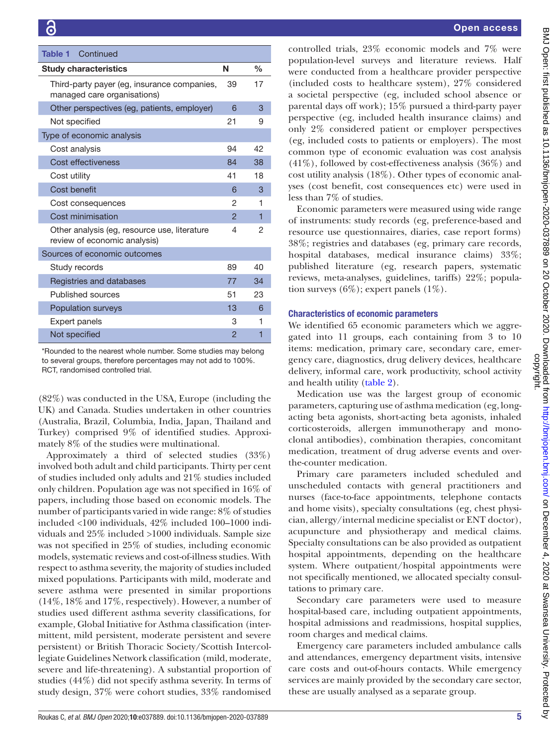| Continued<br>Table 1                                                         |               |               |
|------------------------------------------------------------------------------|---------------|---------------|
| <b>Study characteristics</b>                                                 | N             | $\frac{0}{0}$ |
| Third-party payer (eg. insurance companies,<br>managed care organisations)   | 39            | 17            |
| Other perspectives (eg, patients, employer)                                  | 6             | 3             |
| Not specified                                                                | 21            | 9             |
| Type of economic analysis                                                    |               |               |
| Cost analysis                                                                | 94            | 42            |
| Cost effectiveness                                                           | 84            | 38            |
| Cost utility                                                                 | 41            | 18            |
| Cost benefit                                                                 | 6             | 3             |
| Cost consequences                                                            | 2             | 1             |
| Cost minimisation                                                            | 2             | 1             |
| Other analysis (eg, resource use, literature<br>review of economic analysis) | 4             | 2             |
| Sources of economic outcomes                                                 |               |               |
| Study records                                                                | 89            | 40            |
| Registries and databases                                                     | 77            | 34            |
| <b>Published sources</b>                                                     | 51            | 23            |
| <b>Population surveys</b>                                                    | 13            | 6             |
| <b>Expert panels</b>                                                         | 3             | 1             |
| Not specified                                                                | $\mathcal{P}$ | E             |

\*Rounded to the nearest whole number. Some studies may belong to several groups, therefore percentages may not add to 100%. RCT, randomised controlled trial.

(82%) was conducted in the USA, Europe (including the UK) and Canada. Studies undertaken in other countries (Australia, Brazil, Columbia, India, Japan, Thailand and Turkey) comprised 9% of identified studies. Approximately 8% of the studies were multinational.

Approximately a third of selected studies (33%) involved both adult and child participants. Thirty per cent of studies included only adults and 21% studies included only children. Population age was not specified in 16% of papers, including those based on economic models. The number of participants varied in wide range: 8% of studies included <100 individuals, 42% included 100–1000 individuals and 25% included >1000 individuals. Sample size was not specified in 25% of studies, including economic models, systematic reviews and cost-of-illness studies. With respect to asthma severity, the majority of studies included mixed populations. Participants with mild, moderate and severe asthma were presented in similar proportions (14%, 18% and 17%, respectively). However, a number of studies used different asthma severity classifications, for example, Global Initiative for Asthma classification (intermittent, mild persistent, moderate persistent and severe persistent) or British Thoracic Society/Scottish Intercollegiate Guidelines Network classification (mild, moderate, severe and life-threatening). A substantial proportion of studies (44%) did not specify asthma severity. In terms of study design, 37% were cohort studies, 33% randomised

controlled trials, 23% economic models and 7% were population-level surveys and literature reviews. Half were conducted from a healthcare provider perspective (included costs to healthcare system), 27% considered a societal perspective (eg, included school absence or parental days off work); 15% pursued a third-party payer perspective (eg, included health insurance claims) and only 2% considered patient or employer perspectives (eg, included costs to patients or employers). The most common type of economic evaluation was cost analysis (41%), followed by cost-effectiveness analysis (36%) and cost utility analysis (18%). Other types of economic analyses (cost benefit, cost consequences etc) were used in less than 7% of studies.

Economic parameters were measured using wide range of instruments: study records (eg, preference-based and resource use questionnaires, diaries, case report forms) 38%; registries and databases (eg, primary care records, hospital databases, medical insurance claims) 33%; published literature (eg, research papers, systematic reviews, meta-analyses, guidelines, tariffs) 22%; population surveys  $(6\%)$ ; expert panels  $(1\%)$ .

## Characteristics of economic parameters

We identified 65 economic parameters which we aggregated into 11 groups, each containing from 3 to 10 items: medication, primary care, secondary care, emergency care, diagnostics, drug delivery devices, healthcare delivery, informal care, work productivity, school activity and health utility [\(table](#page-5-0) 2).

Medication use was the largest group of economic parameters, capturing use of asthma medication (eg, longacting beta agonists, short-acting beta agonists, inhaled corticosteroids, allergen immunotherapy and monoclonal antibodies), combination therapies, concomitant medication, treatment of drug adverse events and overthe-counter medication.

Primary care parameters included scheduled and unscheduled contacts with general practitioners and nurses (face-to-face appointments, telephone contacts and home visits), specialty consultations (eg, chest physician, allergy/internal medicine specialist or ENT doctor), acupuncture and physiotherapy and medical claims. Specialty consultations can be also provided as outpatient hospital appointments, depending on the healthcare system. Where outpatient/hospital appointments were not specifically mentioned, we allocated specialty consultations to primary care.

Secondary care parameters were used to measure hospital-based care, including outpatient appointments, hospital admissions and readmissions, hospital supplies, room charges and medical claims.

Emergency care parameters included ambulance calls and attendances, emergency department visits, intensive care costs and out-of-hours contacts. While emergency services are mainly provided by the secondary care sector, these are usually analysed as a separate group.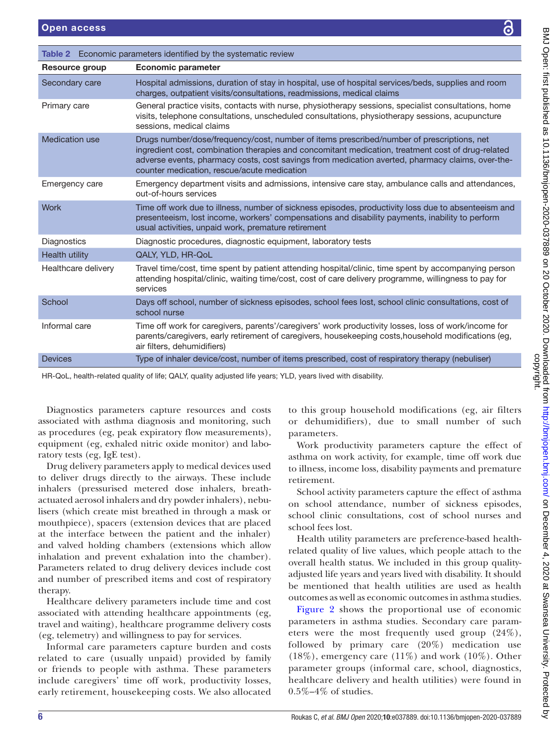<span id="page-5-0"></span>

| Resource group        | <b>Economic parameter</b>                                                                                                                                                                                                                                                                                                                         |
|-----------------------|---------------------------------------------------------------------------------------------------------------------------------------------------------------------------------------------------------------------------------------------------------------------------------------------------------------------------------------------------|
| Secondary care        | Hospital admissions, duration of stay in hospital, use of hospital services/beds, supplies and room<br>charges, outpatient visits/consultations, readmissions, medical claims                                                                                                                                                                     |
| Primary care          | General practice visits, contacts with nurse, physiotherapy sessions, specialist consultations, home<br>visits, telephone consultations, unscheduled consultations, physiotherapy sessions, acupuncture<br>sessions, medical claims                                                                                                               |
| <b>Medication use</b> | Drugs number/dose/frequency/cost, number of items prescribed/number of prescriptions, net<br>ingredient cost, combination therapies and concomitant medication, treatment cost of drug-related<br>adverse events, pharmacy costs, cost savings from medication averted, pharmacy claims, over-the-<br>counter medication, rescue/acute medication |
| Emergency care        | Emergency department visits and admissions, intensive care stay, ambulance calls and attendances,<br>out-of-hours services                                                                                                                                                                                                                        |
| <b>Work</b>           | Time off work due to illness, number of sickness episodes, productivity loss due to absenteeism and<br>presenteeism, lost income, workers' compensations and disability payments, inability to perform<br>usual activities, unpaid work, premature retirement                                                                                     |
| Diagnostics           | Diagnostic procedures, diagnostic equipment, laboratory tests                                                                                                                                                                                                                                                                                     |
| <b>Health utility</b> | QALY, YLD, HR-QoL                                                                                                                                                                                                                                                                                                                                 |
| Healthcare delivery   | Travel time/cost, time spent by patient attending hospital/clinic, time spent by accompanying person<br>attending hospital/clinic, waiting time/cost, cost of care delivery programme, willingness to pay for<br>services                                                                                                                         |
| School                | Days off school, number of sickness episodes, school fees lost, school clinic consultations, cost of<br>school nurse                                                                                                                                                                                                                              |
| Informal care         | Time off work for caregivers, parents'/caregivers' work productivity losses, loss of work/income for<br>parents/caregivers, early retirement of caregivers, housekeeping costs, household modifications (eg,<br>air filters, dehumidifiers)                                                                                                       |
| <b>Devices</b>        | Type of inhaler device/cost, number of items prescribed, cost of respiratory therapy (nebuliser)                                                                                                                                                                                                                                                  |

Diagnostics parameters capture resources and costs associated with asthma diagnosis and monitoring, such as procedures (eg, peak expiratory flow measurements), equipment (eg, exhaled nitric oxide monitor) and laboratory tests (eg, IgE test).

Drug delivery parameters apply to medical devices used to deliver drugs directly to the airways. These include inhalers (pressurised metered dose inhalers, breathactuated aerosol inhalers and dry powder inhalers), nebulisers (which create mist breathed in through a mask or mouthpiece), spacers (extension devices that are placed at the interface between the patient and the inhaler) and valved holding chambers (extensions which allow inhalation and prevent exhalation into the chamber). Parameters related to drug delivery devices include cost and number of prescribed items and cost of respiratory therapy.

Healthcare delivery parameters include time and cost associated with attending healthcare appointments (eg, travel and waiting), healthcare programme delivery costs (eg, telemetry) and willingness to pay for services.

Informal care parameters capture burden and costs related to care (usually unpaid) provided by family or friends to people with asthma. These parameters include caregivers' time off work, productivity losses, early retirement, housekeeping costs. We also allocated to this group household modifications (eg, air filters or dehumidifiers), due to small number of such parameters.

Work productivity parameters capture the effect of asthma on work activity, for example, time off work due to illness, income loss, disability payments and premature retirement.

School activity parameters capture the effect of asthma on school attendance, number of sickness episodes, school clinic consultations, cost of school nurses and school fees lost.

Health utility parameters are preference-based healthrelated quality of live values, which people attach to the overall health status. We included in this group qualityadjusted life years and years lived with disability. It should be mentioned that health utilities are used as health outcomes as well as economic outcomes in asthma studies.

[Figure](#page-6-0) 2 shows the proportional use of economic parameters in asthma studies. Secondary care parameters were the most frequently used group (24%), followed by primary care (20%) medication use  $(18\%)$ , emergency care  $(11\%)$  and work  $(10\%)$ . Other parameter groups (informal care, school, diagnostics, healthcare delivery and health utilities) were found in  $0.5\% - 4\%$  of studies.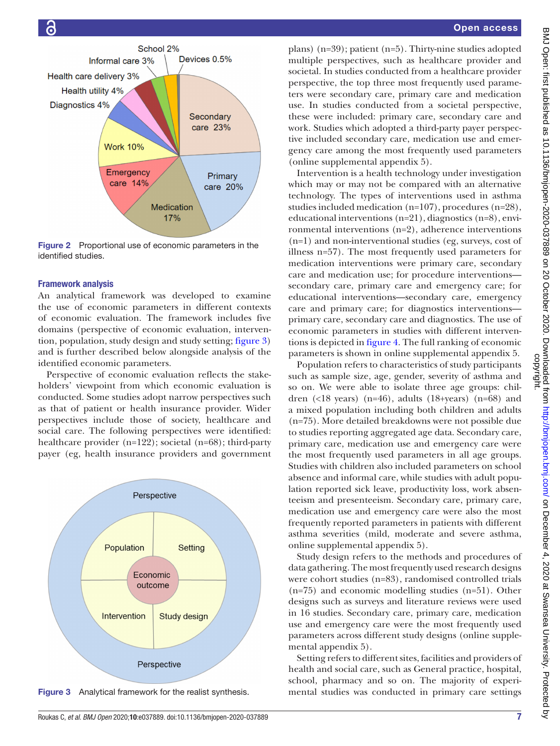

<span id="page-6-0"></span>Figure 2 Proportional use of economic parameters in the identified studies.

#### Framework analysis

An analytical framework was developed to examine the use of economic parameters in different contexts of economic evaluation. The framework includes five domains (perspective of economic evaluation, intervention, population, study design and study setting; [figure](#page-6-1) 3) and is further described below alongside analysis of the identified economic parameters.

Perspective of economic evaluation reflects the stakeholders' viewpoint from which economic evaluation is conducted. Some studies adopt narrow perspectives such as that of patient or health insurance provider. Wider perspectives include those of society, healthcare and social care. The following perspectives were identified: healthcare provider (n=122); societal (n=68); third-party payer (eg, health insurance providers and government



<span id="page-6-1"></span>Figure 3 Analytical framework for the realist synthesis.

plans) (n=39); patient (n=5). Thirty-nine studies adopted multiple perspectives, such as healthcare provider and societal. In studies conducted from a healthcare provider perspective, the top three most frequently used parameters were secondary care, primary care and medication use. In studies conducted from a societal perspective, these were included: primary care, secondary care and work. Studies which adopted a third-party payer perspective included secondary care, medication use and emergency care among the most frequently used parameters [\(online supplemental appendix 5\)](https://dx.doi.org/10.1136/bmjopen-2020-037889).

Intervention is a health technology under investigation which may or may not be compared with an alternative technology. The types of interventions used in asthma studies included medication (n=107), procedures (n=28), educational interventions (n=21), diagnostics (n=8), environmental interventions (n=2), adherence interventions (n=1) and non-interventional studies (eg, surveys, cost of illness n=57). The most frequently used parameters for medication interventions were primary care, secondary care and medication use; for procedure interventions secondary care, primary care and emergency care; for educational interventions—secondary care, emergency care and primary care; for diagnostics interventions primary care, secondary care and diagnostics. The use of economic parameters in studies with different interventions is depicted in [figure](#page-7-0) 4. The full ranking of economic parameters is shown in [online supplemental appendix 5](https://dx.doi.org/10.1136/bmjopen-2020-037889).

Population refers to characteristics of study participants such as sample size, age, gender, severity of asthma and so on. We were able to isolate three age groups: children  $(\langle 18 \text{ years} \rangle)$  (n=46), adults (18+years) (n=68) and a mixed population including both children and adults (n=75). More detailed breakdowns were not possible due to studies reporting aggregated age data. Secondary care, primary care, medication use and emergency care were the most frequently used parameters in all age groups. Studies with children also included parameters on school absence and informal care, while studies with adult population reported sick leave, productivity loss, work absenteeism and presenteeism. Secondary care, primary care, medication use and emergency care were also the most frequently reported parameters in patients with different asthma severities (mild, moderate and severe asthma, [online supplemental appendix 5](https://dx.doi.org/10.1136/bmjopen-2020-037889)).

Study design refers to the methods and procedures of data gathering. The most frequently used research designs were cohort studies (n=83), randomised controlled trials (n=75) and economic modelling studies (n=51). Other designs such as surveys and literature reviews were used in 16 studies. Secondary care, primary care, medication use and emergency care were the most frequently used parameters across different study designs ([online supple](https://dx.doi.org/10.1136/bmjopen-2020-037889)[mental appendix 5\)](https://dx.doi.org/10.1136/bmjopen-2020-037889).

Setting refers to different sites, facilities and providers of health and social care, such as General practice, hospital, school, pharmacy and so on. The majority of experimental studies was conducted in primary care settings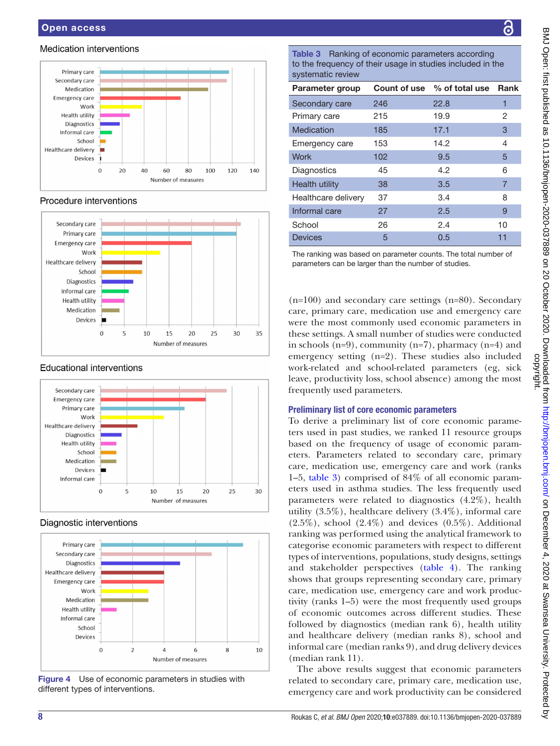

#### Procedure interventions



# **Educational interventions**



# Diagnostic interventions



<span id="page-7-0"></span>Figure 4 Use of economic parameters in studies with different types of interventions.

BMJ Open: first published as 10.1136/bmjopen-2020-037889 on 20 October 2020. Downloaded from http://bmjopen.bmj.com/ on December 4, 2020 at Swansea University. Protected by<br>copyright. BMJ Open: first published as 10.1136/bmjopen-2020-037889 on 20 October 2020. Downloaded from <http://bmjopen.bmj.com/> on December 4, 2020 at Swansea University. Protected by

<span id="page-7-1"></span>Table 3 Ranking of economic parameters according to the frequency of their usage in studies included in the systematic review

| Parameter group     | Count of use | % of total use | <b>Rank</b> |
|---------------------|--------------|----------------|-------------|
| Secondary care      | 246          | 22.8           | 1           |
| Primary care        | 215          | 19.9           | 2           |
| Medication          | 185          | 17.1           | 3           |
| Emergency care      | 153          | 14.2           | 4           |
| <b>Work</b>         | 102          | 9.5            | 5           |
| Diagnostics         | 45           | 4.2            | 6           |
| Health utility      | 38           | 3.5            | 7           |
| Healthcare delivery | 37           | 3.4            | 8           |
| Informal care       | 27           | 2.5            | 9           |
| School              | 26           | 2.4            | 10          |
| <b>Devices</b>      | 5            | 0.5            | 11          |

The ranking was based on parameter counts. The total number of parameters can be larger than the number of studies.

(n=100) and secondary care settings (n=80). Secondary care, primary care, medication use and emergency care were the most commonly used economic parameters in these settings. A small number of studies were conducted in schools  $(n=9)$ , community  $(n=7)$ , pharmacy  $(n=4)$  and emergency setting (n=2). These studies also included work-related and school-related parameters (eg, sick leave, productivity loss, school absence) among the most frequently used parameters.

# Preliminary list of core economic parameters

To derive a preliminary list of core economic parameters used in past studies, we ranked 11 resource groups based on the frequency of usage of economic parameters. Parameters related to secondary care, primary care, medication use, emergency care and work (ranks 1–5, [table](#page-7-1) 3) comprised of 84% of all economic parameters used in asthma studies. The less frequently used parameters were related to diagnostics (4.2%), health utility (3.5%), healthcare delivery (3.4%), informal care  $(2.5\%)$ , school  $(2.4\%)$  and devices  $(0.5\%)$ . Additional ranking was performed using the analytical framework to categorise economic parameters with respect to different types of interventions, populations, study designs, settings and stakeholder perspectives ([table](#page-8-0) 4). The ranking shows that groups representing secondary care, primary care, medication use, emergency care and work productivity (ranks 1–5) were the most frequently used groups of economic outcomes across different studies. These followed by diagnostics (median rank 6), health utility and healthcare delivery (median ranks 8), school and informal care (median ranks 9), and drug delivery devices (median rank 11).

The above results suggest that economic parameters related to secondary care, primary care, medication use, emergency care and work productivity can be considered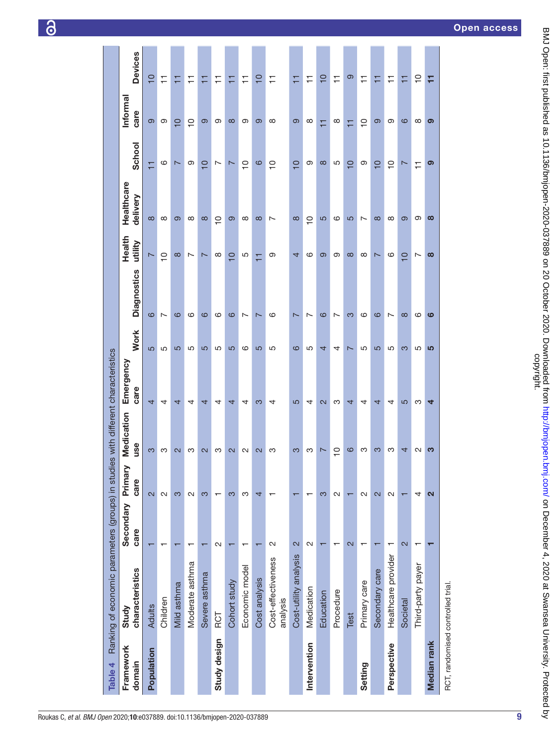| Table 4                         | Ranking of economic parameters (groups) in studi |                   |                         |                          | es with different characteristics |                          |                          |                          |                          |                          |                 |                |
|---------------------------------|--------------------------------------------------|-------------------|-------------------------|--------------------------|-----------------------------------|--------------------------|--------------------------|--------------------------|--------------------------|--------------------------|-----------------|----------------|
| Framework<br>domain             | characteristics<br>Study                         | Secondary<br>care | Primary<br>care         | Medication<br>use        | Emergency<br>care                 | <b>Work</b>              | <b>Diagnostics</b>       | Health<br>utility        | Healthcare<br>delivery   | School                   | Informa<br>care | <b>Devices</b> |
| Population                      | <b>Adults</b>                                    |                   | $\mathbf{\Omega}$       | က                        | 4                                 | 5                        | ဖ                        | $\overline{ }$           | $\infty$                 | Η                        | ၜ               | $\frac{1}{1}$  |
|                                 | Children                                         |                   | $\sim$                  | ო                        | 4                                 | 5                        | $\overline{\phantom{0}}$ | $\frac{1}{2}$            | ထ                        | ဖ                        | တ               | Ξ              |
|                                 | Mild asthma                                      |                   | S                       | 2                        | 4                                 | 5                        | ဖ                        | $\infty$                 | စာ                       | $\overline{\phantom{0}}$ | $\overline{C}$  | Ξ              |
|                                 | Moderate asthma                                  | ᠇                 | $\sim$                  | က                        | 4                                 | 5                        | ဖ                        | $\overline{\phantom{0}}$ | $\infty$                 | တ                        | $\overline{C}$  | Ξ              |
|                                 | Severe asthma                                    | ۳                 | S                       | 2                        | 4                                 | 5                        | ဖ                        | $\overline{\phantom{0}}$ | $\infty$                 | $\overline{C}$           | ၜ               | Ξ              |
| Study design                    | RCT                                              | 2                 | ↽                       | က                        | 4                                 | 5                        | ဖ                        | $\infty$                 | $\overline{C}$           | ∼                        | တ               | Ξ              |
|                                 | Cohort study                                     | ۳                 | S                       | 2                        | 4                                 | 5                        | ဖ                        | $\overline{C}$           | ၜ                        | $\overline{ }$           | $\infty$        | Ξ              |
|                                 | Economic model                                   |                   | S                       | $\sim$                   | 4                                 | ဖ                        | $\overline{\phantom{0}}$ | 5                        | $\infty$                 | $\frac{0}{1}$            | တ               | Ξ              |
|                                 | Cost analysis                                    | ┳                 | 4                       | 2                        | က                                 | 5                        | $\overline{ }$           | Ξ                        | $\infty$                 | စ                        | ၜ               | $\overline{C}$ |
|                                 | Cost-effectiveness<br>analysis                   | 2                 |                         | က                        | 4                                 | 5                        | ဖ                        | တ                        | ∼                        | $\frac{1}{1}$            | $\infty$        | Ξ              |
|                                 | Cost-utility analysis                            | 2                 |                         | ო                        | 5                                 | ဖ                        | $\overline{\phantom{0}}$ | 4                        | $\infty$                 | $\overline{C}$           | တ               | Η              |
| Intervention                    | Medication                                       | 2                 |                         | ო                        | 4                                 | 5                        | $\overline{\phantom{0}}$ | ဖ                        | $\overline{C}$           | တ                        | $^{\circ}$      | Ξ              |
|                                 | Education                                        | ┯                 | S                       | $\overline{\phantom{0}}$ | 2                                 | 4                        | ဖ                        | တ                        | 5                        | $\infty$                 | Ξ               | $\overline{0}$ |
|                                 | Procedure                                        | ۳                 | $\mathbf{\Omega}$       | $\frac{1}{1}$            | ო                                 | 4                        | $\overline{\phantom{0}}$ | တ                        | ဖ                        | 5                        | $^\infty$       | ≓              |
|                                 | Test                                             | 2                 | ۳                       | ဖ                        | 4                                 | $\overline{\phantom{0}}$ | S                        | $\infty$                 | 5                        | $\overline{C}$           | Η               | ၜ              |
| Setting                         | Primary care                                     | Τ                 | $\sim$                  | က                        | 4                                 | 5                        | ဖ                        | $\infty$                 | $\overline{\phantom{0}}$ | တ                        | $\frac{1}{1}$   | ≓              |
|                                 | Secondary care                                   | ┳                 | 2                       | S                        | 4                                 | 5                        | ဖ                        | Ľ                        | $\infty$                 | $\overline{C}$           | ၜ               | Ξ              |
| Perspective                     | Healthcare provider                              |                   | $\sim$                  | က                        | 4                                 | 5                        | $\overline{\phantom{0}}$ | ဖ                        | ∞                        | $\frac{1}{1}$            | တ               | ≓              |
|                                 | Societal                                         | 2                 | ۳                       | 4                        | 5                                 | ო                        | $\infty$                 | $\overline{C}$           | ၜ                        | $\overline{ }$           | ဖ               | Ξ              |
|                                 | Third-party payer                                |                   | 4                       | N                        | က                                 | 5                        | ဖ                        | Ľ                        | တ                        | Ξ                        | $\infty$        | $\overline{C}$ |
| Median rank                     |                                                  |                   | $\overline{\mathbf{c}}$ | က                        | 4                                 | 5                        | ဖ                        | $\infty$                 | $\infty$                 | ၜ                        | ၜ               | H              |
| RCT randomised controlled trial |                                                  |                   |                         |                          |                                   |                          |                          |                          |                          |                          |                 |                |

<span id="page-8-0"></span>RCT, randomised controlled trial.

BMJ Open: first published as 10.1136/bmjopen-2020-037889 on 20 October 2020. Downloaded from http://bmjopen.bmj.com/ on December 4, 2020 at Swansea University. Protected by<br>copyright. BMJ Open: first published as 10.1136/bmjopen-2020-037889 on 20 October 2020. Downloaded from <http://bmjopen.bmj.com/> on December 4, 2020 at Swansea University. Protected by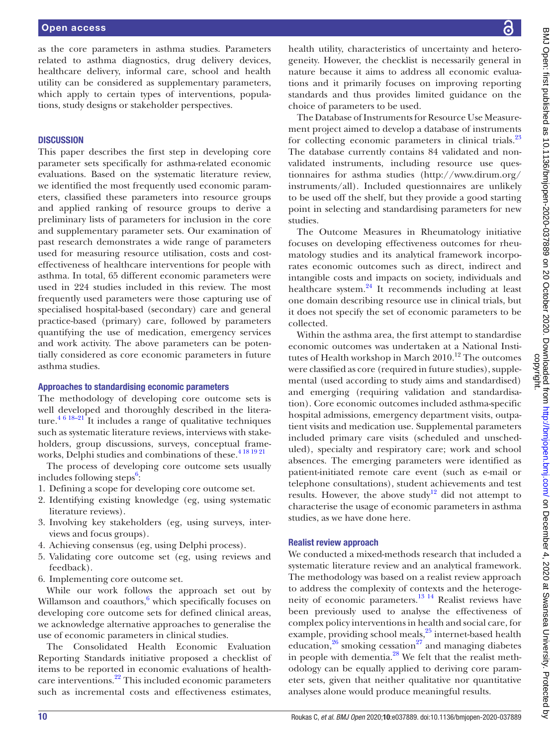as the core parameters in asthma studies. Parameters related to asthma diagnostics, drug delivery devices, healthcare delivery, informal care, school and health utility can be considered as supplementary parameters, which apply to certain types of interventions, populations, study designs or stakeholder perspectives.

#### **DISCUSSION**

This paper describes the first step in developing core parameter sets specifically for asthma-related economic evaluations. Based on the systematic literature review, we identified the most frequently used economic parameters, classified these parameters into resource groups and applied ranking of resource groups to derive a preliminary lists of parameters for inclusion in the core and supplementary parameter sets. Our examination of past research demonstrates a wide range of parameters used for measuring resource utilisation, costs and costeffectiveness of healthcare interventions for people with asthma. In total, 65 different economic parameters were used in 224 studies included in this review. The most frequently used parameters were those capturing use of specialised hospital-based (secondary) care and general practice-based (primary) care, followed by parameters quantifying the use of medication, emergency services and work activity. The above parameters can be potentially considered as core economic parameters in future asthma studies.

#### Approaches to standardising economic parameters

The methodology of developing core outcome sets is well developed and thoroughly described in the literature.<sup>4 6 18–21</sup> It includes a range of qualitative techniques such as systematic literature reviews, interviews with stakeholders, group discussions, surveys, conceptual frameworks, Delphi studies and combinations of these.<sup>4 18 19 21</sup>

The process of developing core outcome sets usually includes following steps<sup>[6](#page-11-9)</sup>:

- 1. Defining a scope for developing core outcome set.
- 2. Identifying existing knowledge (eg, using systematic literature reviews).
- 3. Involving key stakeholders (eg, using surveys, interviews and focus groups).
- 4. Achieving consensus (eg, using Delphi process).
- 5. Validating core outcome set (eg, using reviews and feedback).
- 6. Implementing core outcome set.

While our work follows the approach set out by Willamson and coauthors,<sup>[6](#page-11-9)</sup> which specifically focuses on developing core outcome sets for defined clinical areas, we acknowledge alternative approaches to generalise the use of economic parameters in clinical studies.

The Consolidated Health Economic Evaluation Reporting Standards initiative proposed a checklist of items to be reported in economic evaluations of healthcare interventions. $^{22}$  This included economic parameters such as incremental costs and effectiveness estimates,

health utility, characteristics of uncertainty and heterogeneity. However, the checklist is necessarily general in nature because it aims to address all economic evaluations and it primarily focuses on improving reporting standards and thus provides limited guidance on the choice of parameters to be used.

The Database of Instruments for Resource Use Measurement project aimed to develop a database of instruments for collecting economic parameters in clinical trials.<sup>[23](#page-11-11)</sup> The database currently contains 84 validated and nonvalidated instruments, including resource use questionnaires for asthma studies [\(http://www.dirum.org/](http://www.dirum.org/instruments/all) [instruments/all\)](http://www.dirum.org/instruments/all). Included questionnaires are unlikely to be used off the shelf, but they provide a good starting point in selecting and standardising parameters for new studies.

The Outcome Measures in Rheumatology initiative focuses on developing effectiveness outcomes for rheumatology studies and its analytical framework incorporates economic outcomes such as direct, indirect and intangible costs and impacts on society, individuals and healthcare system. $^{24}$  It recommends including at least one domain describing resource use in clinical trials, but it does not specify the set of economic parameters to be collected.

Within the asthma area, the first attempt to standardise economic outcomes was undertaken at a National Institutes of Health workshop in March  $2010$ .<sup>12</sup> The outcomes were classified as core (required in future studies), supplemental (used according to study aims and standardised) and emerging (requiring validation and standardisation). Core economic outcomes included asthma-specific hospital admissions, emergency department visits, outpatient visits and medication use. Supplemental parameters included primary care visits (scheduled and unscheduled), specialty and respiratory care; work and school absences. The emerging parameters were identified as patient-initiated remote care event (such as e-mail or telephone consultations), student achievements and test results. However, the above study<sup>12</sup> did not attempt to characterise the usage of economic parameters in asthma studies, as we have done here.

#### Realist review approach

We conducted a mixed-methods research that included a systematic literature review and an analytical framework. The methodology was based on a realist review approach to address the complexity of contexts and the heterogeneity of economic parameters.[13 14](#page-11-5) Realist reviews have been previously used to analyse the effectiveness of complex policy interventions in health and social care, for example, providing school meals,<sup>25</sup> internet-based health education, $26$  smoking cessation<sup>[27](#page-11-16)</sup> and managing diabetes in people with dementia. $^{28}$  We felt that the realist methodology can be equally applied to deriving core parameter sets, given that neither qualitative nor quantitative analyses alone would produce meaningful results.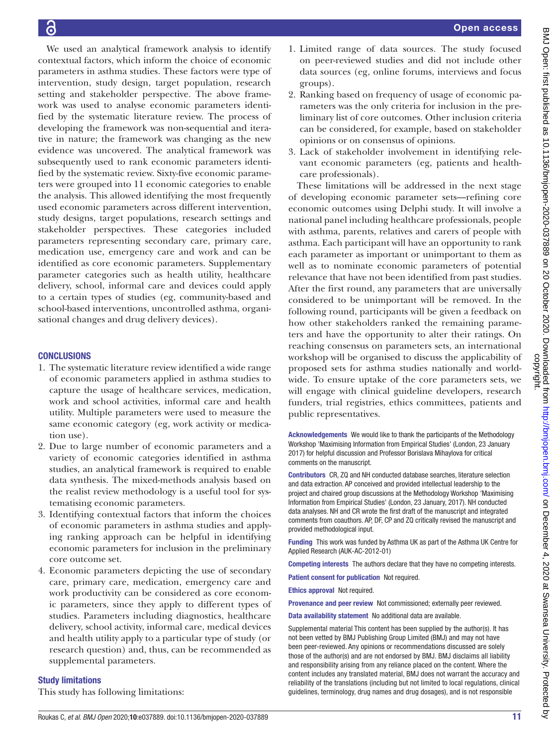We used an analytical framework analysis to identify contextual factors, which inform the choice of economic parameters in asthma studies. These factors were type of intervention, study design, target population, research setting and stakeholder perspective. The above framework was used to analyse economic parameters identified by the systematic literature review. The process of developing the framework was non-sequential and iterative in nature; the framework was changing as the new evidence was uncovered. The analytical framework was subsequently used to rank economic parameters identified by the systematic review. Sixty-five economic parameters were grouped into 11 economic categories to enable the analysis. This allowed identifying the most frequently used economic parameters across different intervention, study designs, target populations, research settings and stakeholder perspectives. These categories included parameters representing secondary care, primary care, medication use, emergency care and work and can be identified as core economic parameters. Supplementary parameter categories such as health utility, healthcare delivery, school, informal care and devices could apply to a certain types of studies (eg, community-based and school-based interventions, uncontrolled asthma, organisational changes and drug delivery devices).

## **CONCLUSIONS**

- 1. The systematic literature review identified a wide range of economic parameters applied in asthma studies to capture the usage of healthcare services, medication, work and school activities, informal care and health utility. Multiple parameters were used to measure the same economic category (eg, work activity or medication use).
- 2. Due to large number of economic parameters and a variety of economic categories identified in asthma studies, an analytical framework is required to enable data synthesis. The mixed-methods analysis based on the realist review methodology is a useful tool for systematising economic parameters.
- 3. Identifying contextual factors that inform the choices of economic parameters in asthma studies and applying ranking approach can be helpful in identifying economic parameters for inclusion in the preliminary core outcome set.
- 4. Economic parameters depicting the use of secondary care, primary care, medication, emergency care and work productivity can be considered as core economic parameters, since they apply to different types of studies. Parameters including diagnostics, healthcare delivery, school activity, informal care, medical devices and health utility apply to a particular type of study (or research question) and, thus, can be recommended as supplemental parameters.

#### Study limitations

This study has following limitations:

- 1. Limited range of data sources. The study focused on peer-reviewed studies and did not include other data sources (eg, online forums, interviews and focus groups).
- 2. Ranking based on frequency of usage of economic parameters was the only criteria for inclusion in the preliminary list of core outcomes. Other inclusion criteria can be considered, for example, based on stakeholder opinions or on consensus of opinions.
- 3. Lack of stakeholder involvement in identifying relevant economic parameters (eg, patients and healthcare professionals).

These limitations will be addressed in the next stage of developing economic parameter sets—refining core economic outcomes using Delphi study. It will involve a national panel including healthcare professionals, people with asthma, parents, relatives and carers of people with asthma. Each participant will have an opportunity to rank each parameter as important or unimportant to them as well as to nominate economic parameters of potential relevance that have not been identified from past studies. After the first round, any parameters that are universally considered to be unimportant will be removed. In the following round, participants will be given a feedback on how other stakeholders ranked the remaining parameters and have the opportunity to alter their ratings. On reaching consensus on parameters sets, an international workshop will be organised to discuss the applicability of proposed sets for asthma studies nationally and worldwide. To ensure uptake of the core parameters sets, we will engage with clinical guideline developers, research funders, trial registries, ethics committees, patients and public representatives.

Acknowledgements We would like to thank the participants of the Methodology Workshop 'Maximising Information from Empirical Studies' (London, 23 January 2017) for helpful discussion and Professor Borislava Mihaylova for critical comments on the manuscript.

Contributors CR, ZQ and NH conducted database searches, literature selection and data extraction. AP conceived and provided intellectual leadership to the project and chaired group discussions at the Methodology Workshop 'Maximising Information from Empirical Studies' (London, 23 January, 2017). NH conducted data analyses. NH and CR wrote the first draft of the manuscript and integrated comments from coauthors. AP, DF, CP and ZQ critically revised the manuscript and provided methodological input.

Funding This work was funded by Asthma UK as part of the Asthma UK Centre for Applied Research (AUK-AC-2012-01)

Competing interests The authors declare that they have no competing interests.

Patient consent for publication Not required.

Ethics approval Not required.

Provenance and peer review Not commissioned; externally peer reviewed.

Data availability statement No additional data are available.

Supplemental material This content has been supplied by the author(s). It has not been vetted by BMJ Publishing Group Limited (BMJ) and may not have been peer-reviewed. Any opinions or recommendations discussed are solely those of the author(s) and are not endorsed by BMJ. BMJ disclaims all liability and responsibility arising from any reliance placed on the content. Where the content includes any translated material, BMJ does not warrant the accuracy and reliability of the translations (including but not limited to local regulations, clinical guidelines, terminology, drug names and drug dosages), and is not responsible